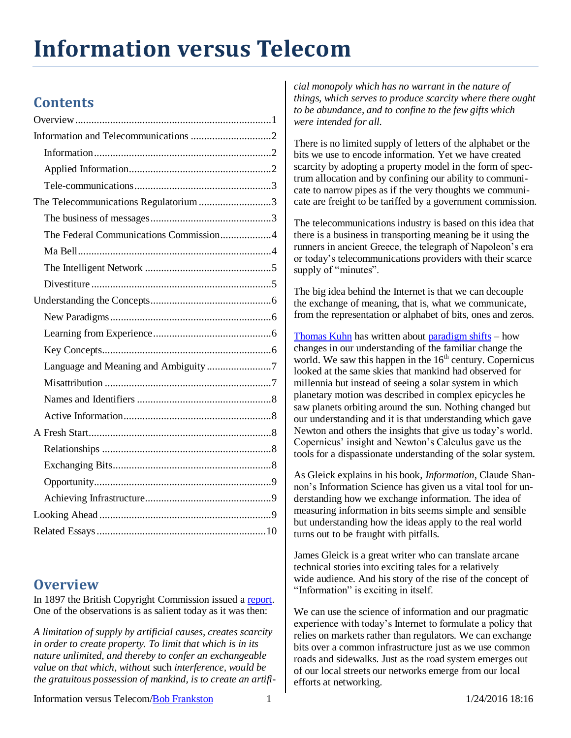# **Information versus Telecom**

# **Contents**

| The Telecommunications Regulatorium 3  |
|----------------------------------------|
|                                        |
| The Federal Communications Commission4 |
|                                        |
|                                        |
|                                        |
|                                        |
|                                        |
|                                        |
|                                        |
| Language and Meaning and Ambiguity7    |
|                                        |
|                                        |
|                                        |
|                                        |
|                                        |
|                                        |
|                                        |
|                                        |
|                                        |
|                                        |

## <span id="page-0-0"></span>**Overview**

In 1897 the British Copyright Commission issued a [report.](http://books.google.com/books?id=RNvgAAAAMAAJ&dq=stationers%20copyright%20perpetual&pg=PR48#v=onepage&q&f=false) One of the observations is as salient today as it was then:

*A limitation of supply by artificial causes, creates scarcity in order to create property. To limit that which is in its nature unlimited, and thereby to confer an exchangeable value on that which, without* such *interference, would be the gratuitous possession of mankind, is to create an artifi-* *cial monopoly which has no warrant in the nature of things, which serves to produce scarcity where there ought to be abundance, and to confine to the few gifts which were intended for all.*

There is no limited supply of letters of the alphabet or the bits we use to encode information. Yet we have created scarcity by adopting a property model in the form of spectrum allocation and by confining our ability to communicate to narrow pipes as if the very thoughts we communicate are freight to be tariffed by a government commission.

The telecommunications industry is based on this idea that there is a business in transporting meaning be it using the runners in ancient Greece, the telegraph of Napoleon's era or today's telecommunications providers with their scarce supply of "minutes".

The big idea behind the Internet is that we can decouple the exchange of meaning, that is, what we communicate, from the representation or alphabet of bits, ones and zeros.

[Thomas Kuhn](http://en.wikipedia.org/wiki/Thomas_Samuel_Kuhn) has written about [paradigm shifts](http://en.wikipedia.org/wiki/Paradigm_shift) – how changes in our understanding of the familiar change the world. We saw this happen in the  $16<sup>th</sup>$  century. Copernicus looked at the same skies that mankind had observed for millennia but instead of seeing a solar system in which planetary motion was described in complex epicycles he saw planets orbiting around the sun. Nothing changed but our understanding and it is that understanding which gave Newton and others the insights that give us today's world. Copernicus' insight and Newton's Calculus gave us the tools for a dispassionate understanding of the solar system.

As Gleick explains in his book, *Information*, Claude Shannon's Information Science has given us a vital tool for understanding how we exchange information. The idea of measuring information in bits seems simple and sensible but understanding how the ideas apply to the real world turns out to be fraught with pitfalls.

James Gleick is a great writer who can translate arcane technical stories into exciting tales for a relatively wide audience. And his story of the rise of the concept of "Information" is exciting in itself.

We can use the science of information and our pragmatic experience with today's Internet to formulate a policy that relies on markets rather than regulators. We can exchange bits over a common infrastructure just as we use common roads and sidewalks. Just as the road system emerges out of our local streets our networks emerge from our local efforts at networking.

Information versus Telecom[/Bob Frankston](http://frankston.com/public) 1 1/24/2016 18:16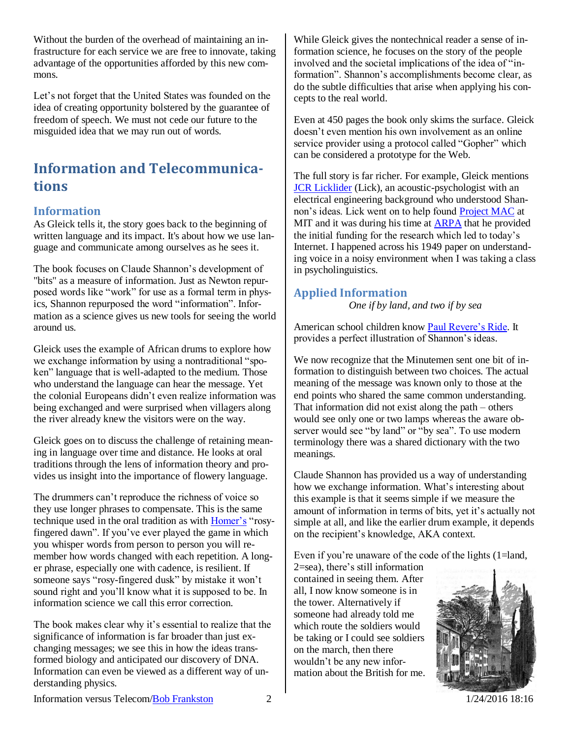Without the burden of the overhead of maintaining an infrastructure for each service we are free to innovate, taking advantage of the opportunities afforded by this new commons.

Let's not forget that the United States was founded on the idea of creating opportunity bolstered by the guarantee of freedom of speech. We must not cede our future to the misguided idea that we may run out of words.

# <span id="page-1-0"></span>**Information and Telecommunications**

#### <span id="page-1-1"></span>**Information**

As Gleick tells it, the story goes back to the beginning of written language and its impact. It's about how we use language and communicate among ourselves as he sees it.

The book focuses on Claude Shannon's development of "bits" as a measure of information. Just as Newton repurposed words like "work" for use as a formal term in physics, Shannon repurposed the word "information". Information as a science gives us new tools for seeing the world around us.

Gleick uses the example of African drums to explore how we exchange information by using a nontraditional "spoken" language that is well-adapted to the medium. Those who understand the language can hear the message. Yet the colonial Europeans didn't even realize information was being exchanged and were surprised when villagers along the river already knew the visitors were on the way.

Gleick goes on to discuss the challenge of retaining meaning in language over time and distance. He looks at oral traditions through the lens of information theory and provides us insight into the importance of flowery language.

The drummers can't reproduce the richness of voice so they use longer phrases to compensate. This is the same technique used in the oral tradition as with [Homer's](file:///Y:/x/documents/financial/Credit%20Cards/AE/aep/summary.xls) "rosyfingered dawn". If you've ever played the game in which you whisper words from person to person you will remember how words changed with each repetition. A longer phrase, especially one with cadence, is resilient. If someone says "rosy-fingered dusk" by mistake it won't sound right and you'll know what it is supposed to be. In information science we call this error correction.

The book makes clear why it's essential to realize that the significance of information is far broader than just exchanging messages; we see this in how the ideas transformed biology and anticipated our discovery of DNA. Information can even be viewed as a different way of understanding physics.

While Gleick gives the nontechnical reader a sense of information science, he focuses on the story of the people involved and the societal implications of the idea of "information". Shannon's accomplishments become clear, as do the subtle difficulties that arise when applying his concepts to the real world.

Even at 450 pages the book only skims the surface. Gleick doesn't even mention his own involvement as an online service provider using a protocol called "Gopher" which can be considered a prototype for the Web.

The full story is far richer. For example, Gleick mentions [JCR Licklider](http://en.wikipedia.org/wiki/J._C._R._Licklider) (Lick), an acoustic-psychologist with an electrical engineering background who understood Shannon's ideas. Lick went on to help found [Project MAC](http://en.wikipedia.org/wiki/Project_Mac) at MIT and it was during his time at [ARPA](http://en.wikipedia.org/wiki/DARPA) that he provided the initial funding for the research which led to today's Internet. I happened across his 1949 paper on understanding voice in a noisy environment when I was taking a class in psycholinguistics.

#### <span id="page-1-2"></span>**Applied Information**

*One if by land, and two if by sea*

American school children know [Paul Revere's Ride.](http://poetry.eserver.org/paul-revere.html) It provides a perfect illustration of Shannon's ideas.

We now recognize that the Minutemen sent one bit of information to distinguish between two choices. The actual meaning of the message was known only to those at the end points who shared the same common understanding. That information did not exist along the path – others would see only one or two lamps whereas the aware observer would see "by land" or "by sea". To use modern terminology there was a shared dictionary with the two meanings.

Claude Shannon has provided us a way of understanding how we exchange information. What's interesting about this example is that it seems simple if we measure the amount of information in terms of bits, yet it's actually not simple at all, and like the earlier drum example, it depends on the recipient's knowledge, AKA context.

Even if you're unaware of the code of the lights (1=land,

2=sea), there's still information contained in seeing them. After all, I now know someone is in the tower. Alternatively if someone had already told me which route the soldiers would be taking or I could see soldiers on the march, then there wouldn't be any new information about the British for me.



Information versus Telecom[/Bob Frankston](http://frankston.com/public) 2 1/24/2016 18:16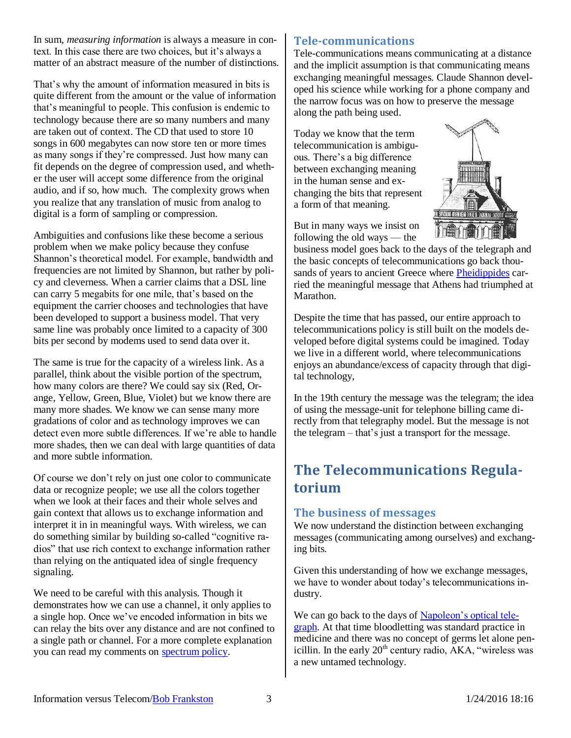In sum, *measuring information* is always a measure in context. In this case there are two choices, but it's always a matter of an abstract measure of the number of distinctions.

That's why the amount of information measured in bits is quite different from the amount or the value of information that's meaningful to people. This confusion is endemic to technology because there are so many numbers and many are taken out of context. The CD that used to store 10 songs in 600 megabytes can now store ten or more times as many songs if they're compressed. Just how many can fit depends on the degree of compression used, and whether the user will accept some difference from the original audio, and if so, how much. The complexity grows when you realize that any translation of music from analog to digital is a form of sampling or compression.

Ambiguities and confusions like these become a serious problem when we make policy because they confuse Shannon's theoretical model. For example, bandwidth and frequencies are not limited by Shannon, but rather by policy and cleverness. When a carrier claims that a DSL line can carry 5 megabits for one mile, that's based on the equipment the carrier chooses and technologies that have been developed to support a business model. That very same line was probably once limited to a capacity of 300 bits per second by modems used to send data over it.

The same is true for the capacity of a wireless link. As a parallel, think about the visible portion of the spectrum, how many colors are there? We could say six (Red, Orange, Yellow, Green, Blue, Violet) but we know there are many more shades. We know we can sense many more gradations of color and as technology improves we can detect even more subtle differences. If we're able to handle more shades, then we can deal with large quantities of data and more subtle information.

Of course we don't rely on just one color to communicate data or recognize people; we use all the colors together when we look at their faces and their whole selves and gain context that allows us to exchange information and interpret it in in meaningful ways. With wireless, we can do something similar by building so-called "cognitive radios" that use rich context to exchange information rather than relying on the antiquated idea of single frequency signaling.

We need to be careful with this analysis. Though it demonstrates how we can use a channel, it only applies to a single hop. Once we've encoded information in bits we can relay the bits over any distance and are not confined to a single path or channel. For a more complete explanation you can read my comments on [spectrum policy.](http://rmf.vc/sd.ivt)

#### <span id="page-2-0"></span>**Tele-communications**

Tele-communications means communicating at a distance and the implicit assumption is that communicating means exchanging meaningful messages. Claude Shannon developed his science while working for a phone company and the narrow focus was on how to preserve the message along the path being used.

Today we know that the term telecommunication is ambiguous. There's a big difference between exchanging meaning in the human sense and exchanging the bits that represent a form of that meaning.



But in many ways we insist on following the old ways — the

business model goes back to the days of the telegraph and the basic concepts of telecommunications go back thou-sands of years to ancient Greece where [Pheidippides](http://en.wikipedia.org/wiki/Pheidippides) carried the meaningful message that Athens had triumphed at Marathon.

Despite the time that has passed, our entire approach to telecommunications policy is still built on the models developed before digital systems could be imagined. Today we live in a different world, where telecommunications enjoys an abundance/excess of capacity through that digital technology,

In the 19th century the message was the telegram; the idea of using the message-unit for telephone billing came directly from that telegraphy model. But the message is not the telegram – that's just a transport for the message.

# <span id="page-2-1"></span>**The Telecommunications Regulatorium**

#### <span id="page-2-2"></span>**The business of messages**

We now understand the distinction between exchanging messages (communicating among ourselves) and exchanging bits.

Given this understanding of how we exchange messages, we have to wonder about today's telecommunications industry.

We can go back to the days o[f Napoleon's optical tele](http://en.wikipedia.org/wiki/Semaphore_line)[graph.](http://en.wikipedia.org/wiki/Semaphore_line) At that time bloodletting was standard practice in medicine and there was no concept of germs let alone penicillin. In the early  $20<sup>th</sup>$  century radio, AKA, "wireless was a new untamed technology.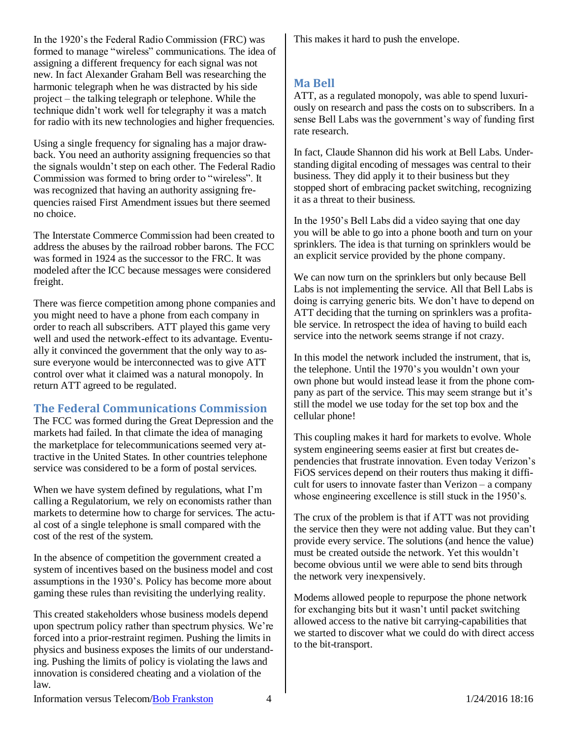In the 1920's the Federal Radio Commission (FRC) was formed to manage "wireless" communications. The idea of assigning a different frequency for each signal was not new. In fact Alexander Graham Bell was researching the harmonic telegraph when he was distracted by his side project – the talking telegraph or telephone. While the technique didn't work well for telegraphy it was a match for radio with its new technologies and higher frequencies.

Using a single frequency for signaling has a major drawback. You need an authority assigning frequencies so that the signals wouldn't step on each other. The Federal Radio Commission was formed to bring order to "wireless". It was recognized that having an authority assigning frequencies raised First Amendment issues but there seemed no choice.

The Interstate Commerce Commission had been created to address the abuses by the railroad robber barons. The FCC was formed in 1924 as the successor to the FRC. It was modeled after the ICC because messages were considered freight.

There was fierce competition among phone companies and you might need to have a phone from each company in order to reach all subscribers. ATT played this game very well and used the network-effect to its advantage. Eventually it convinced the government that the only way to assure everyone would be interconnected was to give ATT control over what it claimed was a natural monopoly. In return ATT agreed to be regulated.

#### <span id="page-3-0"></span>**The Federal Communications Commission**

The FCC was formed during the Great Depression and the markets had failed. In that climate the idea of managing the marketplace for telecommunications seemed very attractive in the United States. In other countries telephone service was considered to be a form of postal services.

When we have system defined by regulations, what I'm calling a Regulatorium, we rely on economists rather than markets to determine how to charge for services. The actual cost of a single telephone is small compared with the cost of the rest of the system.

In the absence of competition the government created a system of incentives based on the business model and cost assumptions in the 1930's. Policy has become more about gaming these rules than revisiting the underlying reality.

This created stakeholders whose business models depend upon spectrum policy rather than spectrum physics. We're forced into a prior-restraint regimen. Pushing the limits in physics and business exposes the limits of our understanding. Pushing the limits of policy is violating the laws and innovation is considered cheating and a violation of the law.

This makes it hard to push the envelope.

#### <span id="page-3-1"></span>**Ma Bell**

ATT, as a regulated monopoly, was able to spend luxuriously on research and pass the costs on to subscribers. In a sense Bell Labs was the government's way of funding first rate research.

In fact, Claude Shannon did his work at Bell Labs. Understanding digital encoding of messages was central to their business. They did apply it to their business but they stopped short of embracing packet switching, recognizing it as a threat to their business.

In the 1950's Bell Labs did a video saying that one day you will be able to go into a phone booth and turn on your sprinklers. The idea is that turning on sprinklers would be an explicit service provided by the phone company.

We can now turn on the sprinklers but only because Bell Labs is not implementing the service. All that Bell Labs is doing is carrying generic bits. We don't have to depend on ATT deciding that the turning on sprinklers was a profitable service. In retrospect the idea of having to build each service into the network seems strange if not crazy.

In this model the network included the instrument, that is, the telephone. Until the 1970's you wouldn't own your own phone but would instead lease it from the phone company as part of the service. This may seem strange but it's still the model we use today for the set top box and the cellular phone!

This coupling makes it hard for markets to evolve. Whole system engineering seems easier at first but creates dependencies that frustrate innovation. Even today Verizon's FiOS services depend on their routers thus making it difficult for users to innovate faster than Verizon – a company whose engineering excellence is still stuck in the 1950's.

The crux of the problem is that if ATT was not providing the service then they were not adding value. But they can't provide every service. The solutions (and hence the value) must be created outside the network. Yet this wouldn't become obvious until we were able to send bits through the network very inexpensively.

Modems allowed people to repurpose the phone network for exchanging bits but it wasn't until packet switching allowed access to the native bit carrying-capabilities that we started to discover what we could do with direct access to the bit-transport.

Information versus Telecom[/Bob Frankston](http://frankston.com/public) 4 1/24/2016 18:16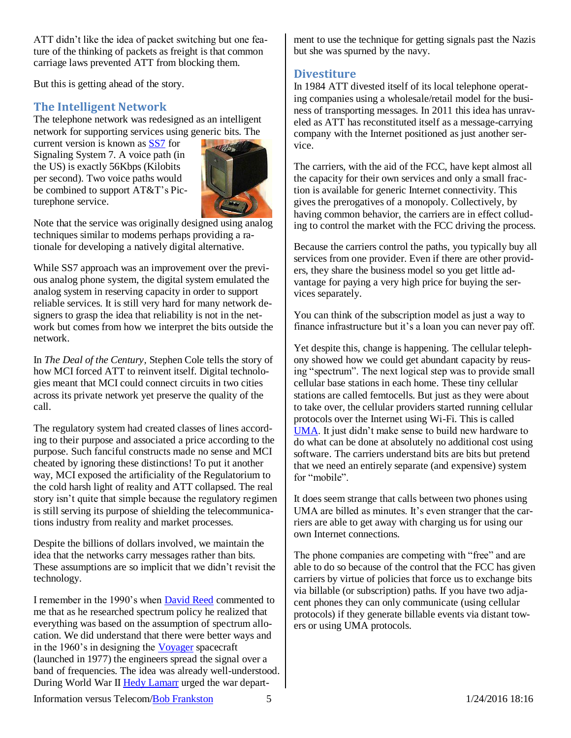ATT didn't like the idea of packet switching but one feature of the thinking of packets as freight is that common carriage laws prevented ATT from blocking them.

But this is getting ahead of the story.

#### <span id="page-4-0"></span>**The Intelligent Network**

The telephone network was redesigned as an intelligent network for supporting services using generic bits. The

current version is known as [SS7](http://en.wikipedia.org/wiki/Signaling_System_7) for Signaling System 7. A voice path (in the US) is exactly 56Kbps (Kilobits per second). Two voice paths would be combined to support AT&T's Picturephone service.



Note that the service was originally designed using analog techniques similar to modems perhaps providing a rationale for developing a natively digital alternative.

While SS7 approach was an improvement over the previous analog phone system, the digital system emulated the analog system in reserving capacity in order to support reliable services. It is still very hard for many network designers to grasp the idea that reliability is not in the network but comes from how we interpret the bits outside the network.

In *The Deal of the Century,* Stephen Cole tells the story of how MCI forced ATT to reinvent itself. Digital technologies meant that MCI could connect circuits in two cities across its private network yet preserve the quality of the call.

The regulatory system had created classes of lines according to their purpose and associated a price according to the purpose. Such fanciful constructs made no sense and MCI cheated by ignoring these distinctions! To put it another way, MCI exposed the artificiality of the Regulatorium to the cold harsh light of reality and ATT collapsed. The real story isn't quite that simple because the regulatory regimen is still serving its purpose of shielding the telecommunications industry from reality and market processes.

Despite the billions of dollars involved, we maintain the idea that the networks carry messages rather than bits. These assumptions are so implicit that we didn't revisit the technology.

I remember in the 1990's when [David Reed](http://www.reed.com/dpr/?sel=dprbiog) commented to me that as he researched spectrum policy he realized that everything was based on the assumption of spectrum allocation. We did understand that there were better ways and in the 1960's in designing the [Voyager](http://en.wikipedia.org/wiki/Voyager_1) spacecraft (launched in 1977) the engineers spread the signal over a band of frequencies. The idea was already well-understood. During World War II [Hedy Lamarr](http://en.wikipedia.org/wiki/Hedy_Lamarr) urged the war department to use the technique for getting signals past the Nazis but she was spurned by the navy.

#### <span id="page-4-1"></span>**Divestiture**

In 1984 ATT divested itself of its local telephone operating companies using a wholesale/retail model for the business of transporting messages. In 2011 this idea has unraveled as ATT has reconstituted itself as a message-carrying company with the Internet positioned as just another service.

The carriers, with the aid of the FCC, have kept almost all the capacity for their own services and only a small fraction is available for generic Internet connectivity. This gives the prerogatives of a monopoly. Collectively, by having common behavior, the carriers are in effect colluding to control the market with the FCC driving the process.

Because the carriers control the paths, you typically buy all services from one provider. Even if there are other providers, they share the business model so you get little advantage for paying a very high price for buying the services separately.

You can think of the subscription model as just a way to finance infrastructure but it's a loan you can never pay off.

Yet despite this, change is happening. The cellular telephony showed how we could get abundant capacity by reusing "spectrum". The next logical step was to provide small cellular base stations in each home. These tiny cellular stations are called femtocells. But just as they were about to take over, the cellular providers started running cellular protocols over the Internet using Wi-Fi. This is called [UMA.](http://rmf.vc/nnuma.ivt) It just didn't make sense to build new hardware to do what can be done at absolutely no additional cost using software. The carriers understand bits are bits but pretend that we need an entirely separate (and expensive) system for "mobile".

It does seem strange that calls between two phones using UMA are billed as minutes. It's even stranger that the carriers are able to get away with charging us for using our own Internet connections.

The phone companies are competing with "free" and are able to do so because of the control that the FCC has given carriers by virtue of policies that force us to exchange bits via billable (or subscription) paths. If you have two adjacent phones they can only communicate (using cellular protocols) if they generate billable events via distant towers or using UMA protocols.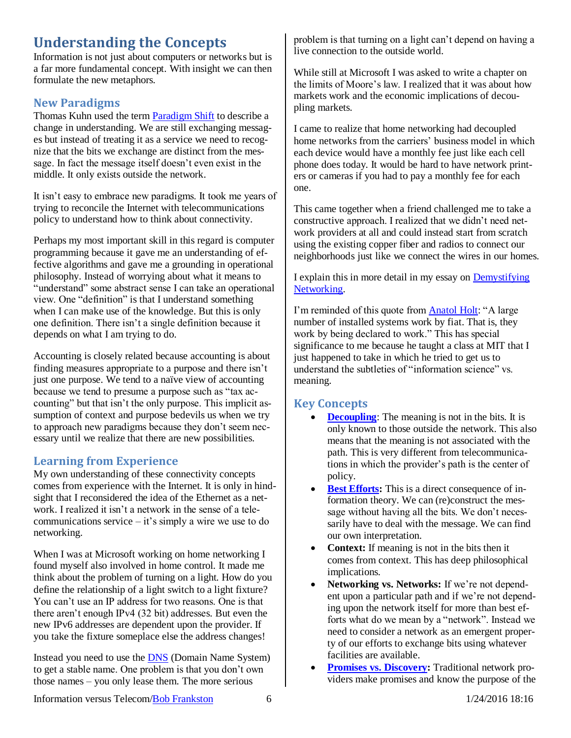## <span id="page-5-0"></span>**Understanding the Concepts**

Information is not just about computers or networks but is a far more fundamental concept. With insight we can then formulate the new metaphors.

#### <span id="page-5-1"></span>**New Paradigms**

Thomas Kuhn used the term [Paradigm Shift](http://en.wikipedia.org/wiki/Paradigm_shift) to describe a change in understanding. We are still exchanging messages but instead of treating it as a service we need to recognize that the bits we exchange are distinct from the message. In fact the message itself doesn't even exist in the middle. It only exists outside the network.

It isn't easy to embrace new paradigms. It took me years of trying to reconcile the Internet with telecommunications policy to understand how to think about connectivity.

Perhaps my most important skill in this regard is computer programming because it gave me an understanding of effective algorithms and gave me a grounding in operational philosophy. Instead of worrying about what it means to "understand" some abstract sense I can take an operational view. One "definition" is that I understand something when I can make use of the knowledge. But this is only one definition. There isn't a single definition because it depends on what I am trying to do.

Accounting is closely related because accounting is about finding measures appropriate to a purpose and there isn't just one purpose. We tend to a naïve view of accounting because we tend to presume a purpose such as "tax accounting" but that isn't the only purpose. This implicit assumption of context and purpose bedevils us when we try to approach new paradigms because they don't seem necessary until we realize that there are new possibilities.

#### <span id="page-5-2"></span>**Learning from Experience**

My own understanding of these connectivity concepts comes from experience with the Internet. It is only in hindsight that I reconsidered the idea of the Ethernet as a network. I realized it isn't a network in the sense of a telecommunications service  $-$  it's simply a wire we use to do networking.

When I was at Microsoft working on home networking I found myself also involved in home control. It made me think about the problem of turning on a light. How do you define the relationship of a light switch to a light fixture? You can't use an IP address for two reasons. One is that there aren't enough IPv4 (32 bit) addresses. But even the new IPv6 addresses are dependent upon the provider. If you take the fixture someplace else the address changes!

Instead you need to use the [DNS](http://en.wikipedia.org/wiki/Domain_Name_System) (Domain Name System) to get a stable name. One problem is that you don't own those names – you only lease them. The more serious

problem is that turning on a light can't depend on having a live connection to the outside world.

While still at Microsoft I was asked to write a chapter on the limits of Moore's law. I realized that it was about how markets work and the economic implications of decoupling markets.

I came to realize that home networking had decoupled home networks from the carriers' business model in which each device would have a monthly fee just like each cell phone does today. It would be hard to have network printers or cameras if you had to pay a monthly fee for each one.

This came together when a friend challenged me to take a constructive approach. I realized that we didn't need network providers at all and could instead start from scratch using the existing copper fiber and radios to connect our neighborhoods just like we connect the wires in our homes.

I explain this in more detail in my essay on [Demystifying](http://rmf.vc/Demystify?x=ivt)  [Networking.](http://rmf.vc/Demystify?x=ivt)

I'm reminded of this quote from [Anatol Holt:](http://en.wikiquote.org/wiki/Anatol_Holt) "A large number of installed systems work by fiat. That is, they work by being declared to work." This has special significance to me because he taught a class at MIT that I just happened to take in which he tried to get us to understand the subtleties of "information science" vs. meaning.

#### <span id="page-5-3"></span>**Key Concepts**

- **[Decoupling](http://rmf.vc/BeyondLimits?x=ivt)**: The meaning is not in the bits. It is only known to those outside the network. This also means that the meaning is not associated with the path. This is very different from telecommunications in which the provider's path is the center of policy.
- **[Best Efforts:](http://rmf.vc/UAC?x=ivt#BestEfforts)** This is a direct consequence of information theory. We can (re)construct the message without having all the bits. We don't necessarily have to deal with the message. We can find our own interpretation.
- **Context:** If meaning is not in the bits then it comes from context. This has deep philosophical implications.
- **Networking vs. Networks:** If we're not dependent upon a particular path and if we're not depending upon the network itself for more than best efforts what do we mean by a "network". Instead we need to consider a network as an emergent property of our efforts to exchange bits using whatever facilities are available.
- **Promises [vs. Discovery:](http://rmf.vc/IPPvD?x=ivt)** Traditional network providers make promises and know the purpose of the

Information versus Telecom[/Bob Frankston](http://frankston.com/public) 6 1/24/2016 18:16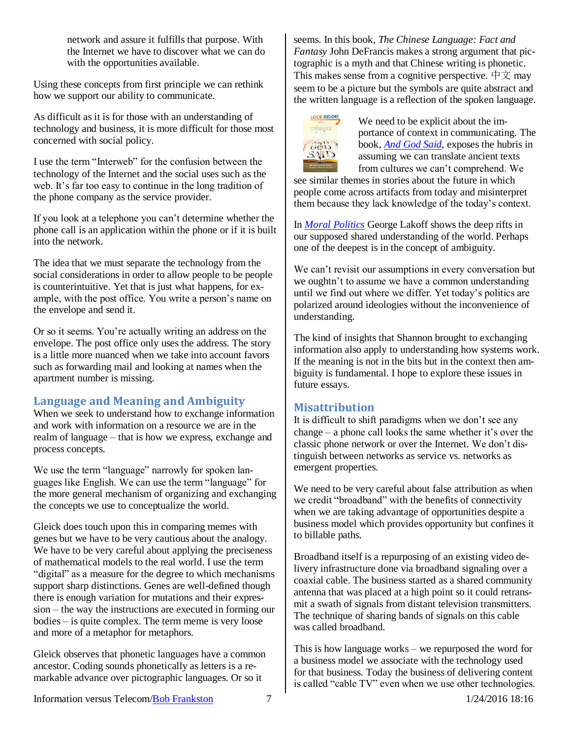network and assure it fulfills that purpose. With the Internet we have to discover what we can do with the opportunities available.

Using these concepts from first principle we can rethink how we support our ability to communicate.

As difficult as it is for those with an understanding of technology and business, it is more difficult for those most concerned with social policy.

I use the term "Interweb" for the confusion between the technology of the Internet and the social uses such as the web. It's far too easy to continue in the long tradition of the phone company as the service provider.

If you look at a telephone you can't determine whether the phone call is an application within the phone or if it is built into the network.

The idea that we must separate the technology from the social considerations in order to allow people to be people is counterintuitive. Yet that is just what happens, for example, with the post office. You write a person's name on the envelope and send it.

Or so it seems. You're actually writing an address on the envelope. The post office only uses the address. The story is a little more nuanced when we take into account favors such as forwarding mail and looking at names when the apartment number is missing.

#### <span id="page-6-0"></span>**Language and Meaning and Ambiguity**

When we seek to understand how to exchange information and work with information on a resource we are in the realm of language – that is how we express, exchange and process concepts.

We use the term "language" narrowly for spoken languages like English. We can use the term "language" for the more general mechanism of organizing and exchanging the concepts we use to conceptualize the world.

Gleick does touch upon this in comparing memes with genes but we have to be very cautious about the analogy. We have to be very careful about applying the preciseness of mathematical models to the real world. I use the term "digital" as a measure for the degree to which mechanisms support sharp distinctions. Genes are well-defined though there is enough variation for mutations and their expression – the way the instructions are executed in forming our bodies – is quite complex. The term meme is very loose and more of a metaphor for metaphors.

Gleick observes that phonetic languages have a common ancestor. Coding sounds phonetically as letters is a remarkable advance over pictographic languages. Or so it

seems. In this book, *The Chinese Language: Fact and Fantasy* John DeFrancis makes a strong argument that pictographic is a myth and that Chinese writing is phonetic. This makes sense from a cognitive perspective.  $\psi \circ \psi$  may seem to be a picture but the symbols are quite abstract and the written language is a reflection of the spoken language.



We need to be explicit about the importance of context in communicating. The book, *[And God Said](http://www.andgodsaid.com/)*, exposes the hubris in assuming we can translate ancient texts from cultures we can't comprehend. We

see similar themes in stories about the future in which people come across artifacts from today and misinterpret them because they lack knowledge of the today's context.

In *[Moral Politics](http://www.amazon.com/exec/obidos/ASIN/0226467716/bobfrankston)* George Lakoff shows the deep rifts in our supposed shared understanding of the world. Perhaps one of the deepest is in the concept of ambiguity.

We can't revisit our assumptions in every conversation but we oughtn't to assume we have a common understanding until we find out where we differ. Yet today's politics are polarized around ideologies without the inconvenience of understanding.

The kind of insights that Shannon brought to exchanging information also apply to understanding how systems work. If the meaning is not in the bits but in the context then ambiguity is fundamental. I hope to explore these issues in future essays.

#### <span id="page-6-1"></span>**Misattribution**

It is difficult to shift paradigms when we don't see any change – a phone call looks the same whether it's over the classic phone network or over the Internet. We don't distinguish between networks as service vs. networks as emergent properties.

We need to be very careful about false attribution as when we credit "broadband" with the benefits of connectivity when we are taking advantage of opportunities despite a business model which provides opportunity but confines it to billable paths.

Broadband itself is a repurposing of an existing video delivery infrastructure done via broadband signaling over a coaxial cable. The business started as a shared community antenna that was placed at a high point so it could retransmit a swath of signals from distant television transmitters. The technique of sharing bands of signals on this cable was called broadband.

This is how language works – we repurposed the word for a business model we associate with the technology used for that business. Today the business of delivering content is called "cable TV" even when we use other technologies.

Information versus Telecom[/Bob Frankston](http://frankston.com/public) 7 1/24/2016 18:16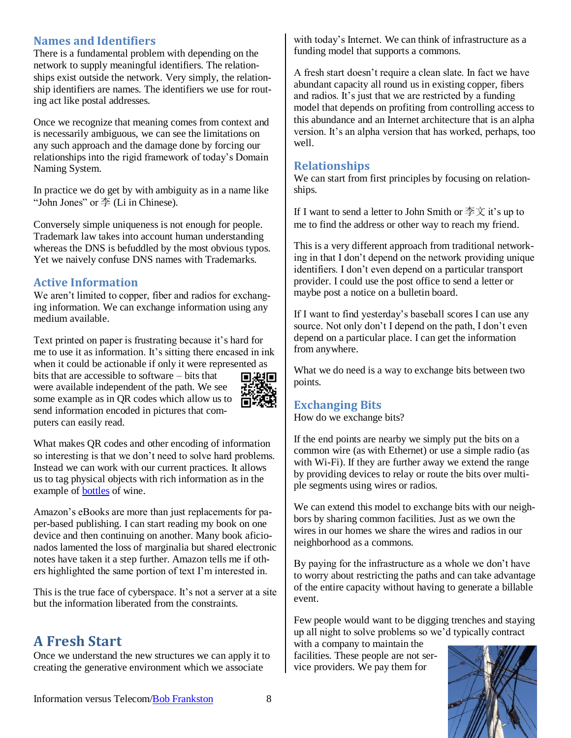#### <span id="page-7-0"></span>**Names and Identifiers**

There is a fundamental problem with depending on the network to supply meaningful identifiers. The relationships exist outside the network. Very simply, the relationship identifiers are names. The identifiers we use for routing act like postal addresses.

Once we recognize that meaning comes from context and is necessarily ambiguous, we can see the limitations on any such approach and the damage done by forcing our relationships into the rigid framework of today's Domain Naming System.

In practice we do get by with ambiguity as in a name like "John Jones" or 李 (Li in Chinese).

Conversely simple uniqueness is not enough for people. Trademark law takes into account human understanding whereas the DNS is befuddled by the most obvious typos. Yet we naively confuse DNS names with Trademarks.

#### <span id="page-7-1"></span>**Active Information**

We aren't limited to copper, fiber and radios for exchanging information. We can exchange information using any medium available.

Text printed on paper is frustrating because it's hard for me to use it as information. It's sitting there encased in ink when it could be actionable if only it were represented as

bits that are accessible to software – bits that were available independent of the path. We see some example as in QR codes which allow us to send information encoded in pictures that computers can easily read.



What makes QR codes and other encoding of information so interesting is that we don't need to solve hard problems. Instead we can work with our current practices. It allows us to tag physical objects with rich information as in the example of **bottles** of wine.

Amazon's eBooks are more than just replacements for paper-based publishing. I can start reading my book on one device and then continuing on another. Many book aficionados lamented the loss of marginalia but shared electronic notes have taken it a step further. Amazon tells me if others highlighted the same portion of text I'm interested in.

This is the true face of cyberspace. It's not a server at a site but the information liberated from the constraints.

## <span id="page-7-2"></span>**A Fresh Start**

Once we understand the new structures we can apply it to creating the generative environment which we associate

with today's Internet. We can think of infrastructure as a funding model that supports a commons.

A fresh start doesn't require a clean slate. In fact we have abundant capacity all round us in existing copper, fibers and radios. It's just that we are restricted by a funding model that depends on profiting from controlling access to this abundance and an Internet architecture that is an alpha version. It's an alpha version that has worked, perhaps, too well.

#### <span id="page-7-3"></span>**Relationships**

We can start from first principles by focusing on relationships.

If I want to send a letter to John Smith or  $\overline{\text{F}} \times \overline{\text{F}}$  it's up to me to find the address or other way to reach my friend.

This is a very different approach from traditional networking in that I don't depend on the network providing unique identifiers. I don't even depend on a particular transport provider. I could use the post office to send a letter or maybe post a notice on a bulletin board.

If I want to find yesterday's baseball scores I can use any source. Not only don't I depend on the path, I don't even depend on a particular place. I can get the information from anywhere.

What we do need is a way to exchange bits between two points.

#### <span id="page-7-4"></span>**Exchanging Bits**

How do we exchange bits?

If the end points are nearby we simply put the bits on a common wire (as with Ethernet) or use a simple radio (as with Wi-Fi). If they are further away we extend the range by providing devices to relay or route the bits over multiple segments using wires or radios.

We can extend this model to exchange bits with our neighbors by sharing common facilities. Just as we own the wires in our homes we share the wires and radios in our neighborhood as a commons.

By paying for the infrastructure as a whole we don't have to worry about restricting the paths and can take advantage of the entire capacity without having to generate a billable event.

Few people would want to be digging trenches and staying up all night to solve problems so we'd typically contract

with a company to maintain the facilities. These people are not service providers. We pay them for

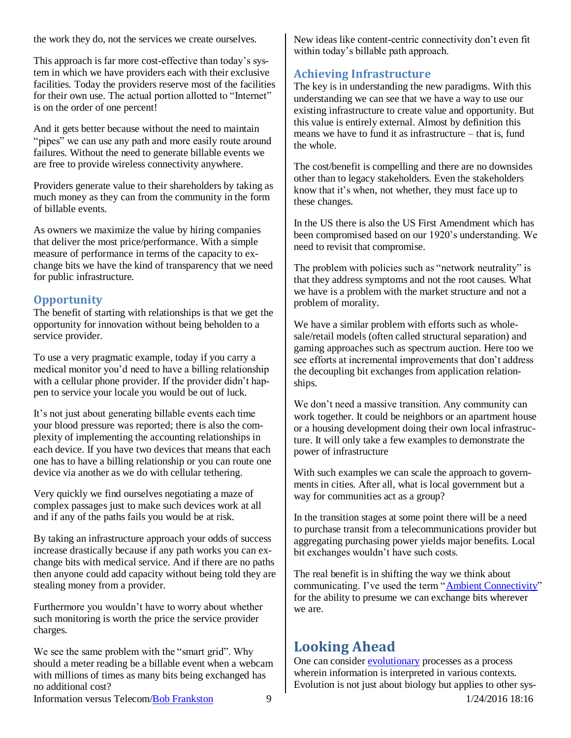the work they do, not the services we create ourselves.

This approach is far more cost-effective than today's system in which we have providers each with their exclusive facilities. Today the providers reserve most of the facilities for their own use. The actual portion allotted to "Internet" is on the order of one percent!

And it gets better because without the need to maintain "pipes" we can use any path and more easily route around failures. Without the need to generate billable events we are free to provide wireless connectivity anywhere.

Providers generate value to their shareholders by taking as much money as they can from the community in the form of billable events.

As owners we maximize the value by hiring companies that deliver the most price/performance. With a simple measure of performance in terms of the capacity to exchange bits we have the kind of transparency that we need for public infrastructure.

#### <span id="page-8-0"></span>**Opportunity**

The benefit of starting with relationships is that we get the opportunity for innovation without being beholden to a service provider.

To use a very pragmatic example, today if you carry a medical monitor you'd need to have a billing relationship with a cellular phone provider. If the provider didn't happen to service your locale you would be out of luck.

It's not just about generating billable events each time your blood pressure was reported; there is also the complexity of implementing the accounting relationships in each device. If you have two devices that means that each one has to have a billing relationship or you can route one device via another as we do with cellular tethering.

Very quickly we find ourselves negotiating a maze of complex passages just to make such devices work at all and if any of the paths fails you would be at risk.

By taking an infrastructure approach your odds of success increase drastically because if any path works you can exchange bits with medical service. And if there are no paths then anyone could add capacity without being told they are stealing money from a provider.

Furthermore you wouldn't have to worry about whether such monitoring is worth the price the service provider charges.

We see the same problem with the "smart grid". Why should a meter reading be a billable event when a webcam with millions of times as many bits being exchanged has no additional cost?

New ideas like content-centric connectivity don't even fit within today's billable path approach.

#### <span id="page-8-1"></span>**Achieving Infrastructure**

The key is in understanding the new paradigms. With this understanding we can see that we have a way to use our existing infrastructure to create value and opportunity. But this value is entirely external. Almost by definition this means we have to fund it as infrastructure – that is, fund the whole.

The cost/benefit is compelling and there are no downsides other than to legacy stakeholders. Even the stakeholders know that it's when, not whether, they must face up to these changes.

In the US there is also the US First Amendment which has been compromised based on our 1920's understanding. We need to revisit that compromise.

The problem with policies such as "network neutrality" is that they address symptoms and not the root causes. What we have is a problem with the market structure and not a problem of morality.

We have a similar problem with efforts such as wholesale/retail models (often called structural separation) and gaming approaches such as spectrum auction. Here too we see efforts at incremental improvements that don't address the decoupling bit exchanges from application relationships.

We don't need a massive transition. Any community can work together. It could be neighbors or an apartment house or a housing development doing their own local infrastructure. It will only take a few examples to demonstrate the power of infrastructure

With such examples we can scale the approach to governments in cities. After all, what is local government but a way for communities act as a group?

In the transition stages at some point there will be a need to purchase transit from a telecommunications provider but aggregating purchasing power yields major benefits. Local bit exchanges wouldn't have such costs.

The real benefit is in shifting the way we think about communicating. I've used the term ["Ambient Connectivity"](http://rmf.vc/AmbientConnectivity?x=ivt) for the ability to presume we can exchange bits wherever we are.

## <span id="page-8-2"></span>**Looking Ahead**

One can consider **evolutionary** processes as a process wherein information is interpreted in various contexts. Evolution is not just about biology but applies to other sys-

Information versus Telecom[/Bob Frankston](http://frankston.com/public) 9 1/24/2016 18:16